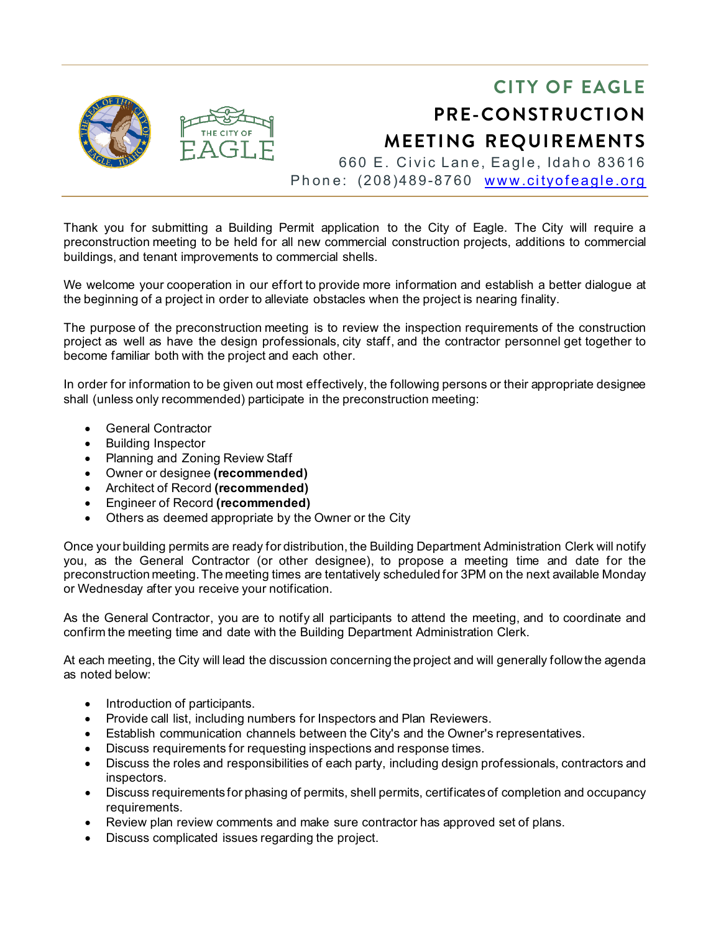

Thank you for submitting a Building Permit application to the City of Eagle. The City will require a preconstruction meeting to be held for all new commercial construction projects, additions to commercial buildings, and tenant improvements to commercial shells.

We welcome your cooperation in our effort to provide more information and establish a better dialogue at the beginning of a project in order to alleviate obstacles when the project is nearing finality.

The purpose of the preconstruction meeting is to review the inspection requirements of the construction project as well as have the design professionals, city staff, and the contractor personnel get together to become familiar both with the project and each other.

In order for information to be given out most effectively, the following persons or their appropriate designee shall (unless only recommended) participate in the preconstruction meeting:

- General Contractor
- Building Inspector
- Planning and Zoning Review Staff
- Owner or designee **(recommended)**
- Architect of Record **(recommended)**
- Engineer of Record **(recommended)**
- Others as deemed appropriate by the Owner or the City

Once your building permits are ready for distribution, the Building Department Administration Clerk will notify you, as the General Contractor (or other designee), to propose a meeting time and date for the preconstruction meeting. The meeting times are tentatively scheduled for 3PM on the next available Monday or Wednesday after you receive your notification.

As the General Contractor, you are to notify all participants to attend the meeting, and to coordinate and confirm the meeting time and date with the Building Department Administration Clerk.

At each meeting, the City will lead the discussion concerning the project and will generally follow the agenda as noted below:

- Introduction of participants.
- Provide call list, including numbers for Inspectors and Plan Reviewers.
- Establish communication channels between the City's and the Owner's representatives.
- Discuss requirements for requesting inspections and response times.
- Discuss the roles and responsibilities of each party, including design professionals, contractors and inspectors.
- Discuss requirements for phasing of permits, shell permits, certificates of completion and occupancy requirements.
- Review plan review comments and make sure contractor has approved set of plans.
- Discuss complicated issues regarding the project.